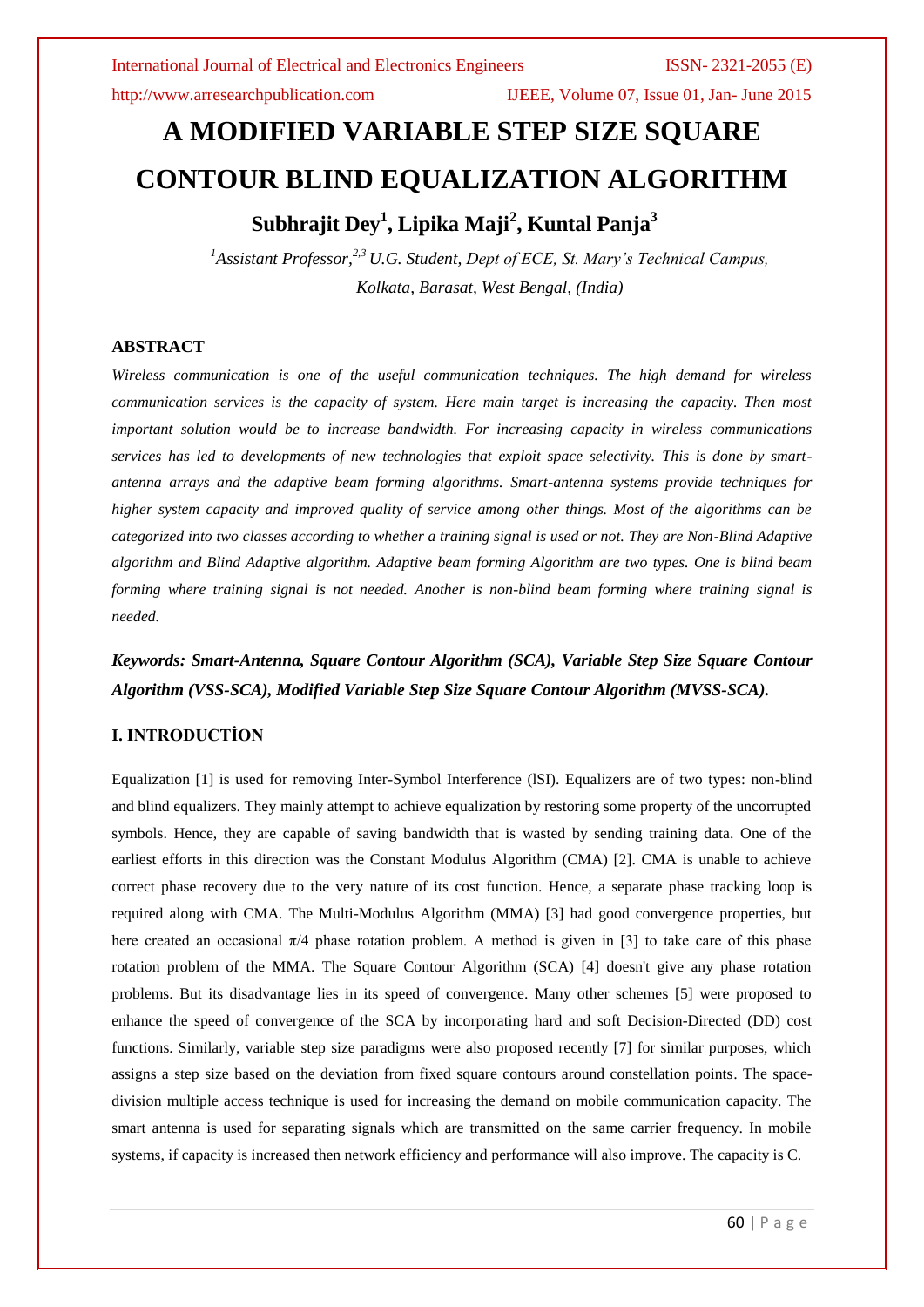http://www.arresearchpublication.com IJEEE, Volume 07, Issue 01, Jan- June 2015

# **A MODIFIED VARIABLE STEP SIZE SQUARE CONTOUR BLIND EQUALIZATION ALGORITHM Subhrajit Dey<sup>1</sup> , Lipika Maji<sup>2</sup> , Kuntal Panja<sup>3</sup>**

*<sup>1</sup>Assistant Professor,2,3 U.G. Student, Dept of ECE, St. Mary's Technical Campus, Kolkata, Barasat, West Bengal, (India)*

#### **ABSTRACT**

*Wireless communication is one of the useful communication techniques. The high demand for wireless communication services is the capacity of system. Here main target is increasing the capacity. Then most important solution would be to increase bandwidth. For increasing capacity in wireless communications services has led to developments of new technologies that exploit space selectivity. This is done by smartantenna arrays and the adaptive beam forming algorithms. Smart-antenna systems provide techniques for higher system capacity and improved quality of service among other things. Most of the algorithms can be categorized into two classes according to whether a training signal is used or not. They are Non-Blind Adaptive algorithm and Blind Adaptive algorithm. Adaptive beam forming Algorithm are two types. One is blind beam forming where training signal is not needed. Another is non-blind beam forming where training signal is needed.*

*Keywords: Smart-Antenna, Square Contour Algorithm (SCA), Variable Step Size Square Contour Algorithm (VSS-SCA), Modified Variable Step Size Square Contour Algorithm (MVSS-SCA).*

#### **I. INTRODUCTİON**

Equalization [1] is used for removing Inter-Symbol Interference (lSI). Equalizers are of two types: non-blind and blind equalizers. They mainly attempt to achieve equalization by restoring some property of the uncorrupted symbols. Hence, they are capable of saving bandwidth that is wasted by sending training data. One of the earliest efforts in this direction was the Constant Modulus Algorithm (CMA) [2]. CMA is unable to achieve correct phase recovery due to the very nature of its cost function. Hence, a separate phase tracking loop is required along with CMA. The Multi-Modulus Algorithm (MMA) [3] had good convergence properties, but here created an occasional  $\pi/4$  phase rotation problem. A method is given in [3] to take care of this phase rotation problem of the MMA. The Square Contour Algorithm (SCA) [4] doesn't give any phase rotation problems. But its disadvantage lies in its speed of convergence. Many other schemes [5] were proposed to enhance the speed of convergence of the SCA by incorporating hard and soft Decision-Directed (DD) cost functions. Similarly, variable step size paradigms were also proposed recently [7] for similar purposes, which assigns a step size based on the deviation from fixed square contours around constellation points. The spacedivision multiple access technique is used for increasing the demand on mobile communication capacity. The smart antenna is used for separating signals which are transmitted on the same carrier frequency. In mobile systems, if capacity is increased then network efficiency and performance will also improve. The capacity is C.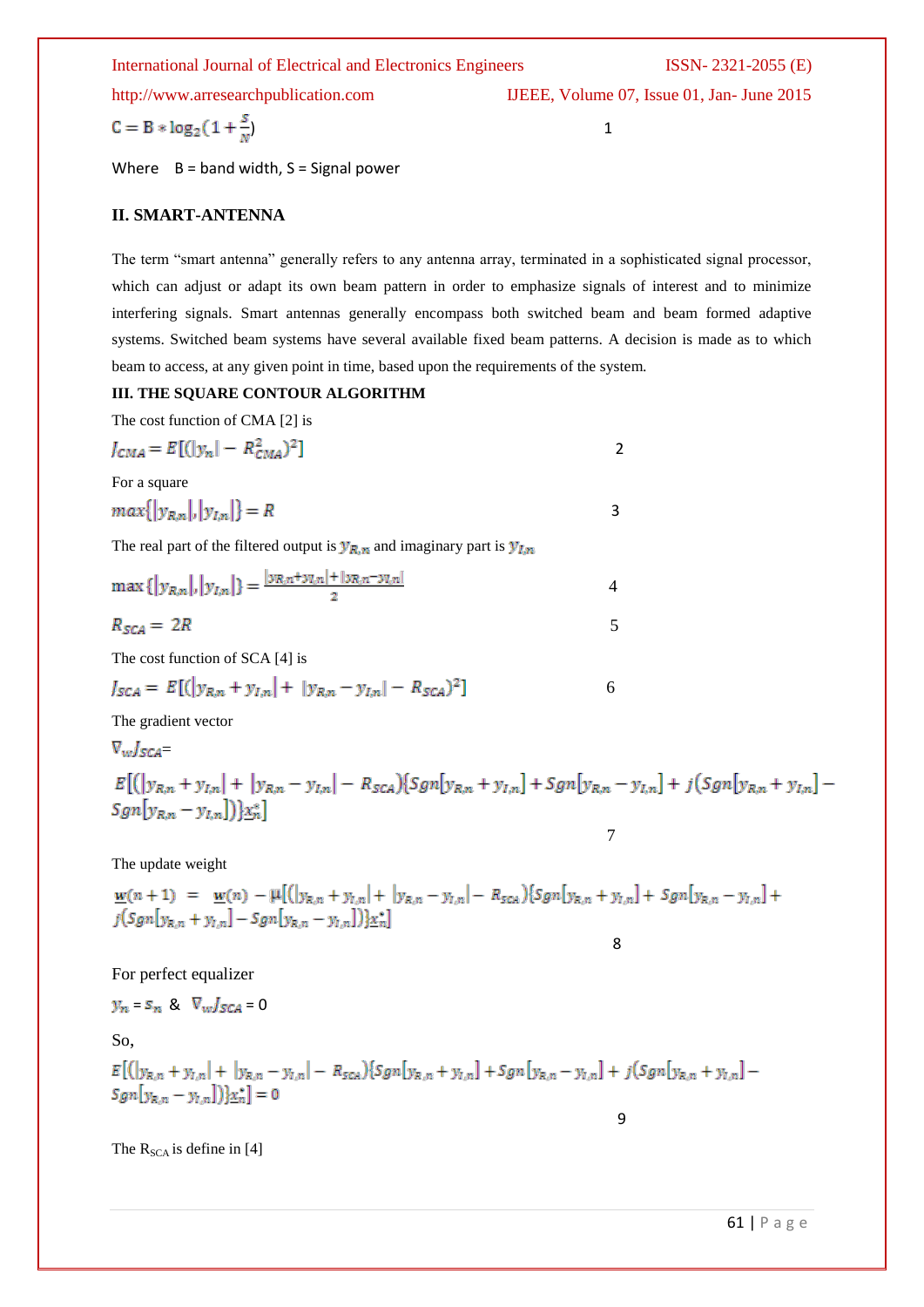#### International Journal of Electrical and Electronics Engineers ISSN- 2321-2055 (E)

http://www.arresearchpublication.com IJEEE, Volume 07, Issue 01, Jan- June 2015

$$
C = B * log_2(1 + \frac{3}{N})
$$

Where  $B =$  band width,  $S =$  Signal power

## **II. SMART-ANTENNA**

The term "smart antenna" generally refers to any antenna array, terminated in a sophisticated signal processor, which can adjust or adapt its own beam pattern in order to emphasize signals of interest and to minimize interfering signals. Smart antennas generally encompass both switched beam and beam formed adaptive systems. Switched beam systems have several available fixed beam patterns. A decision is made as to which beam to access, at any given point in time, based upon the requirements of the system.

## **III. THE SQUARE CONTOUR ALGORITHM**

The cost function of CMA [2] is

$$
J_{CMA} = E[(|y_n| - R_{CMA}^2)^2]
$$

For a square

$$
max\{|y_{R,n}|, |y_{l,n}|\}=R
$$

The real part of the filtered output is  $y_{R,n}$  and imaginary part is  $y_{I,n}$ 

$$
\max\{|y_{R,n}|, |y_{I,n}|\} = \frac{|y_{R,n} + y_{I,n}| + |y_{R,n} - y_{I,n}|}{2}
$$
  

$$
R_{SCA} = 2R
$$

The cost function of SCA [4] is

$$
J_{SCA} = E[(|y_{R,n} + y_{I,n}| + |y_{R,n} - y_{I,n}| - R_{SCA})^2]
$$
 6

7

8 and 20 and 20 and 20 and 20 and 20 and 20 and 20 and 20 and 20 and 20 and 20 and 20 and 20 and 20 and 20 and

9

The gradient vector

$$
\nabla_{w} J_{SCA} =
$$
\n
$$
E[(|y_{R,n} + y_{l,n}| + |y_{R,n} - y_{l,n}| - R_{SCA})\{Sgn[y_{R,n} + y_{l,n}] + Sgn[y_{R,n} - y_{l,n}] + j(Sgn[y_{R,n} + y_{l,n}] - Sgn[y_{R,n} - y_{l,n}])\} \times_{n}^{*}]
$$

The update weight

$$
\underline{w}(n+1) = \underline{w}(n) - \mu[(|y_{R,n} + y_{I,n}| + |y_{R,n} - y_{I,n}| - R_{SCA})\{Sgn[y_{R,n} + y_{I,n}] + Sgn[y_{R,n} - y_{I,n}]\} + j(Sgn[y_{R,n} + y_{I,n}] - Sgn[y_{R,n} - y_{I,n}])\}\underline{x}_n^*]
$$

For perfect equalizer

$$
y_n = s_n \& \nabla_w J_{SCA} = 0
$$

So,

 $E\big[\big(|y_{R,n}+y_{I,n}|+|y_{R,n}-y_{I,n}|-R_{SCA}\big)\big\{Sgn[y_{R,n}+y_{I,n}]+Sgn[y_{R,n}-y_{I,n}]+j\big(Sgn[y_{R,n}+y_{I,n}] Sgn[y_{R,n} - y_{1,n}])\x_n^*] = 0$ 

The  $R_{SCA}$  is define in [4]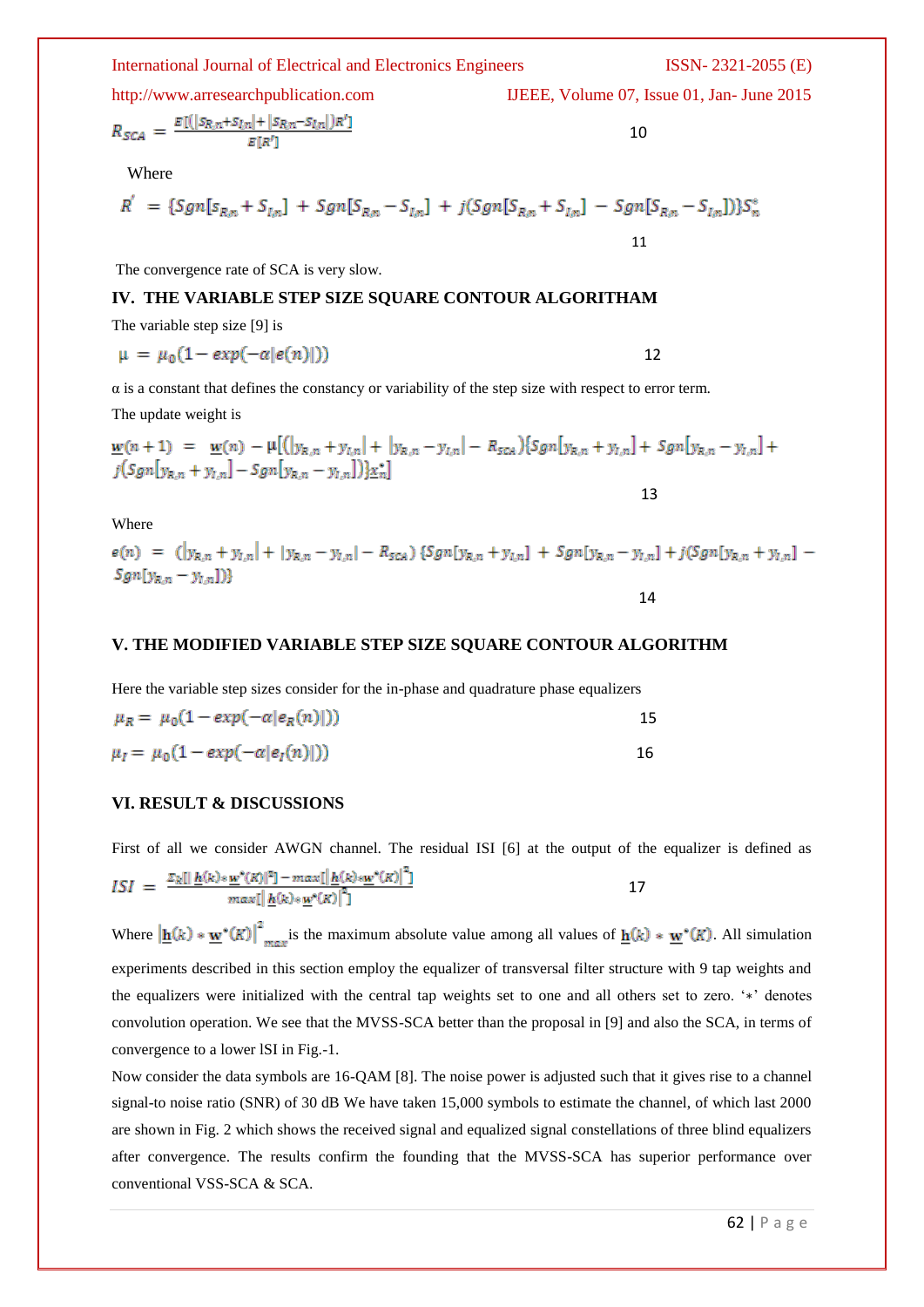# http://www.arresearchpublication.com IJEEE, Volume 07, Issue 01, Jan- June 2015

$$
R_{SCA} = \frac{E[ (|S_{R,n} + S_{I,n}| + |S_{R,n} - S_{I,n}|)}{E[R']}
$$

Where

$$
R' = \{Sgn[s_{R,n} + S_{l,n}] + Sgn[S_{R,n} - S_{l,n}] + j(Sgn[S_{R,n} + S_{l,n}] - Sgn[S_{R,n} - S_{l,n}])\}S_n^*
$$

The convergence rate of SCA is very slow.

#### **IV. THE VARIABLE STEP SIZE SQUARE CONTOUR ALGORITHAM**

The variable step size [9] is

$$
\mu = \mu_0 (1 - \exp(-\alpha |e(n)|)) \tag{12}
$$

 $\alpha$  is a constant that defines the constancy or variability of the step size with respect to error term.

The update weight is

$$
\underline{w}(n+1) = \underline{w}(n) - \mu [(\vert y_{R,n} + y_{I,n} \vert + \vert y_{R,n} - y_{I,n} \vert - R_{SCA}) \{ Sgn[y_{R,n} + y_{I,n} \vert + Sgn[y_{R,n} - y_{I,n} \vert + j(Sgn[y_{R,n} + y_{I,n}] - Sgn[y_{R,n} - y_{I,n}]) \} \underline{x}_n^*]
$$
\n
$$
13
$$

Where

 $e(n) = (|y_{R,n} + y_{L,n}| + |y_{R,n} - y_{L,n}| - R_{SCA}) \{Sgn[y_{R,n} + y_{L,n}] + Sgn[y_{R,n} - y_{L,n}] + j(Sgn[y_{R,n} + y_{L,n}] Sgn[y_{R,n} - y_{l,n}])$ 

14

#### **V. THE MODIFIED VARIABLE STEP SIZE SQUARE CONTOUR ALGORITHM**

Here the variable step sizes consider for the in-phase and quadrature phase equalizers

| $\mu_R = \mu_0(1 - exp(-\alpha  e_R(n) ))$  |  |
|---------------------------------------------|--|
| $\mu_I = \mu_0 (1 - exp(-\alpha  e_I(n) ))$ |  |

#### **VI. RESULT & DISCUSSIONS**

First of all we consider AWGN channel. The residual ISI [6] at the output of the equalizer is defined as

$$
ISI = \frac{\sum_{k} [|\underline{h}(k) * \underline{w}^{*}(K)|^{2}] - \max[\underline{h}(k) * \underline{w}^{*}(K)|^{2}]}{\max[\underline{h}(k) * \underline{w}^{*}(K)]^{2}} \qquad (17)
$$

Where  $\left|\mathbf{h}(k)*\mathbf{w}^*(K)\right|^2_{max}$  is the maximum absolute value among all values of  $\mathbf{h}(k)*\mathbf{w}^*(K)$ . All simulation experiments described in this section employ the equalizer of transversal filter structure with 9 tap weights and the equalizers were initialized with the central tap weights set to one and all others set to zero. "∗" denotes convolution operation. We see that the MVSS-SCA better than the proposal in [9] and also the SCA, in terms of convergence to a lower lSI in Fig.-1.

Now consider the data symbols are 16-QAM [8]. The noise power is adjusted such that it gives rise to a channel signal-to noise ratio (SNR) of 30 dB We have taken 15,000 symbols to estimate the channel, of which last 2000 are shown in Fig. 2 which shows the received signal and equalized signal constellations of three blind equalizers after convergence. The results confirm the founding that the MVSS-SCA has superior performance over conventional VSS-SCA & SCA.

International Journal of Electrical and Electronics Engineers ISSN- 2321-2055 (E)

 $\sim$  10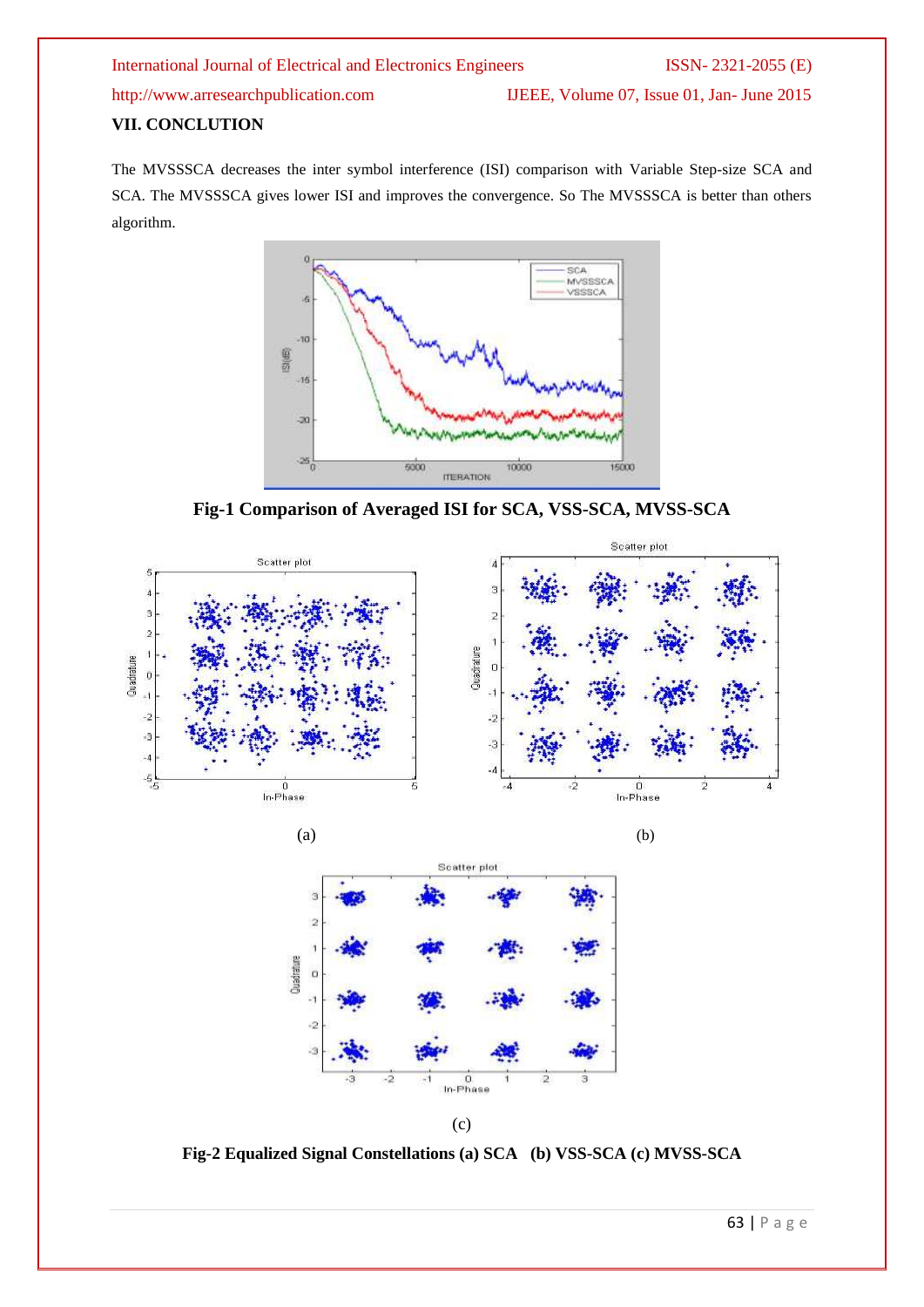# International Journal of Electrical and Electronics Engineers ISSN- 2321-2055 (E) http://www.arresearchpublication.com IJEEE, Volume 07, Issue 01, Jan- June 2015

# **VII. CONCLUTION**

The MVSSSCA decreases the inter symbol interference (ISI) comparison with Variable Step-size SCA and SCA. The MVSSSCA gives lower ISI and improves the convergence. So The MVSSSCA is better than others algorithm.



**Fig-1 Comparison of Averaged ISI for SCA, VSS-SCA, MVSS-SCA**







(c)

**Fig-2 Equalized Signal Constellations (a) SCA (b) VSS-SCA (c) MVSS-SCA**